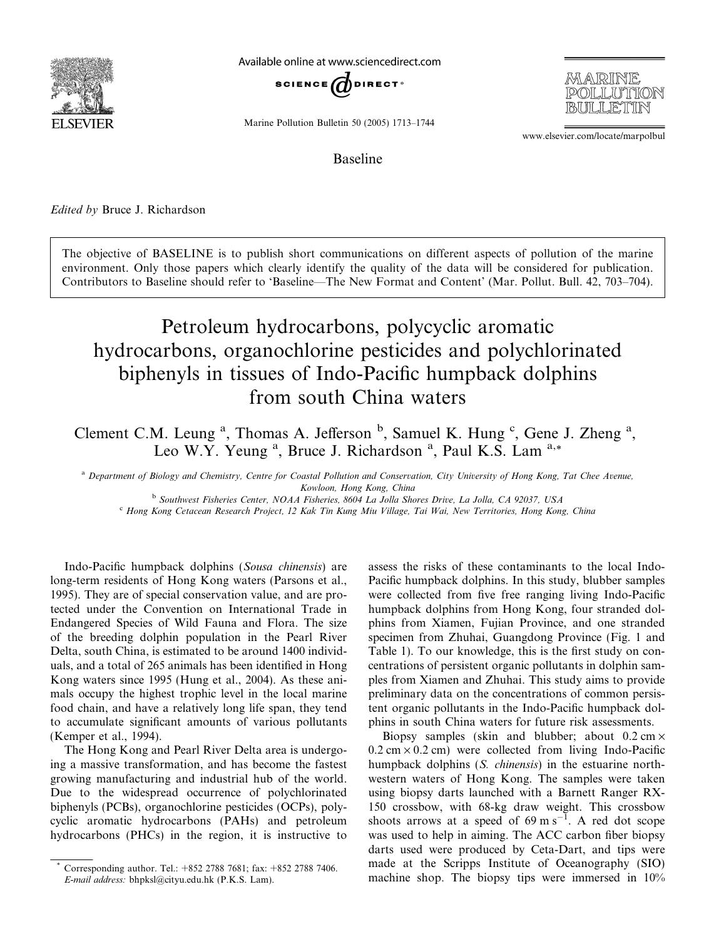

Available online at www.sciencedirect.com



Marine Pollution Bulletin 50 (2005) 1713–1744

www.elsevier.com/locate/marpolbul

MARINE

POILLITITION

Baseline

### Edited by Bruce J. Richardson

The objective of BASELINE is to publish short communications on different aspects of pollution of the marine environment. Only those papers which clearly identify the quality of the data will be considered for publication. Contributors to Baseline should refer to 'Baseline—The New Format and Content' (Mar. Pollut. Bull. 42, 703–704).

# Petroleum hydrocarbons, polycyclic aromatic hydrocarbons, organochlorine pesticides and polychlorinated biphenyls in tissues of Indo-Pacific humpback dolphins from south China waters

Clement C.M. Leung <sup>a</sup>, Thomas A. Jefferson <sup>b</sup>, Samuel K. Hung <sup>c</sup>, Gene J. Zheng <sup>a</sup>, Leo W.Y. Yeung <sup>a</sup>, Bruce J. Richardson <sup>a</sup>, Paul K.S. Lam <sup>a,\*</sup>

<sup>a</sup> Department of Biology and Chemistry, Centre for Coastal Pollution and Conservation, City University of Hong Kong, Tat Chee Avenue, Kowloon, Hong Kong, China

<sup>b</sup> Southwest Fisheries Center, NOAA Fisheries, 8604 La Jolla Shores Drive, La Jolla, CA 92037, USA

<sup>c</sup> Hong Kong Cetacean Research Project, 12 Kak Tin Kung Miu Village, Tai Wai, New Territories, Hong Kong, China

Indo-Pacific humpback dolphins (Sousa chinensis) are long-term residents of Hong Kong waters (Parsons et al., 1995). They are of special conservation value, and are protected under the Convention on International Trade in Endangered Species of Wild Fauna and Flora. The size of the breeding dolphin population in the Pearl River Delta, south China, is estimated to be around 1400 individuals, and a total of 265 animals has been identified in Hong Kong waters since 1995 (Hung et al., 2004). As these animals occupy the highest trophic level in the local marine food chain, and have a relatively long life span, they tend to accumulate significant amounts of various pollutants (Kemper et al., 1994).

The Hong Kong and Pearl River Delta area is undergoing a massive transformation, and has become the fastest growing manufacturing and industrial hub of the world. Due to the widespread occurrence of polychlorinated biphenyls (PCBs), organochlorine pesticides (OCPs), polycyclic aromatic hydrocarbons (PAHs) and petroleum hydrocarbons (PHCs) in the region, it is instructive to assess the risks of these contaminants to the local Indo-Pacific humpback dolphins. In this study, blubber samples were collected from five free ranging living Indo-Pacific humpback dolphins from Hong Kong, four stranded dolphins from Xiamen, Fujian Province, and one stranded specimen from Zhuhai, Guangdong Province (Fig. 1 and Table 1). To our knowledge, this is the first study on concentrations of persistent organic pollutants in dolphin samples from Xiamen and Zhuhai. This study aims to provide preliminary data on the concentrations of common persistent organic pollutants in the Indo-Pacific humpback dolphins in south China waters for future risk assessments.

Biopsy samples (skin and blubber; about  $0.2 \text{ cm} \times$  $0.2$  cm  $\times$  0.2 cm) were collected from living Indo-Pacific humpback dolphins (S. chinensis) in the estuarine northwestern waters of Hong Kong. The samples were taken using biopsy darts launched with a Barnett Ranger RX-150 crossbow, with 68-kg draw weight. This crossbow shoots arrows at a speed of  $69 \text{ m s}^{-1}$ . A red dot scope was used to help in aiming. The ACC carbon fiber biopsy darts used were produced by Ceta-Dart, and tips were made at the Scripps Institute of Oceanography (SIO) machine shop. The biopsy tips were immersed in 10%

Corresponding author. Tel.: +852 2788 7681; fax: +852 2788 7406. E-mail address: bhpksl@cityu.edu.hk (P.K.S. Lam).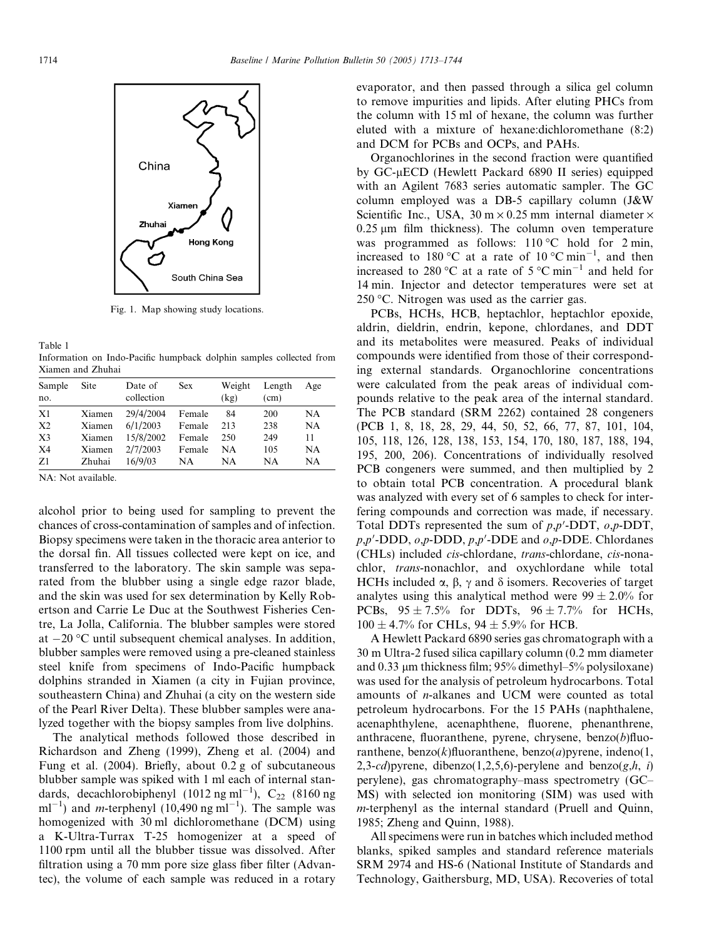

Fig. 1. Map showing study locations.

Table 1 Information on Indo-Pacific humpback dolphin samples collected from Xiamen and Zhuhai

| Sample<br>no.                                | Site                                 | Date of<br>collection                          | <b>Sex</b>                           | Weight<br>(kg)         | Length<br>(cm)           | Age                         |
|----------------------------------------------|--------------------------------------|------------------------------------------------|--------------------------------------|------------------------|--------------------------|-----------------------------|
| X1<br>X <sub>2</sub><br>X <sub>3</sub><br>X4 | Xiamen<br>Xiamen<br>Xiamen<br>Xiamen | 29/4/2004<br>6/1/2003<br>15/8/2002<br>2/7/2003 | Female<br>Female<br>Female<br>Female | 84<br>213<br>250<br>NΑ | 200<br>238<br>249<br>105 | NA<br><b>NA</b><br>11<br>NA |
| Z1                                           | Zhuhai                               | 16/9/03                                        | NA                                   | NΑ                     | NA                       | NA                          |

NA: Not available.

alcohol prior to being used for sampling to prevent the chances of cross-contamination of samples and of infection. Biopsy specimens were taken in the thoracic area anterior to the dorsal fin. All tissues collected were kept on ice, and transferred to the laboratory. The skin sample was separated from the blubber using a single edge razor blade, and the skin was used for sex determination by Kelly Robertson and Carrie Le Duc at the Southwest Fisheries Centre, La Jolla, California. The blubber samples were stored at  $-20$  °C until subsequent chemical analyses. In addition, blubber samples were removed using a pre-cleaned stainless steel knife from specimens of Indo-Pacific humpback dolphins stranded in Xiamen (a city in Fujian province, southeastern China) and Zhuhai (a city on the western side of the Pearl River Delta). These blubber samples were analyzed together with the biopsy samples from live dolphins.

The analytical methods followed those described in Richardson and Zheng (1999), Zheng et al. (2004) and Fung et al. (2004). Briefly, about 0.2 g of subcutaneous blubber sample was spiked with 1 ml each of internal standards, decachlorobiphenyl (1012 ng ml<sup>-1</sup>),  $C_{22}$  (8160 ng  $ml^{-1}$ ) and *m*-terphenyl (10,490 ng ml<sup>-1</sup>). The sample was homogenized with 30 ml dichloromethane (DCM) using a K-Ultra-Turrax T-25 homogenizer at a speed of 1100 rpm until all the blubber tissue was dissolved. After filtration using a 70 mm pore size glass fiber filter (Advantec), the volume of each sample was reduced in a rotary

evaporator, and then passed through a silica gel column to remove impurities and lipids. After eluting PHCs from the column with 15 ml of hexane, the column was further eluted with a mixture of hexane:dichloromethane (8:2) and DCM for PCBs and OCPs, and PAHs.

Organochlorines in the second fraction were quantified by GC-µECD (Hewlett Packard 6890 II series) equipped with an Agilent 7683 series automatic sampler. The GC column employed was a DB-5 capillary column (J&W Scientific Inc., USA,  $30 \text{ m} \times 0.25 \text{ mm}$  internal diameter  $\times$  $0.25$  um film thickness). The column oven temperature was programmed as follows:  $110 °C$  hold for  $2 min$ , increased to 180 °C at a rate of 10 °C min<sup>-1</sup>, and then increased to 280 °C at a rate of 5 °C min<sup>-1</sup> and held for 14 min. Injector and detector temperatures were set at  $250$  °C. Nitrogen was used as the carrier gas.

PCBs, HCHs, HCB, heptachlor, heptachlor epoxide, aldrin, dieldrin, endrin, kepone, chlordanes, and DDT and its metabolites were measured. Peaks of individual compounds were identified from those of their corresponding external standards. Organochlorine concentrations were calculated from the peak areas of individual compounds relative to the peak area of the internal standard. The PCB standard (SRM 2262) contained 28 congeners (PCB 1, 8, 18, 28, 29, 44, 50, 52, 66, 77, 87, 101, 104, 105, 118, 126, 128, 138, 153, 154, 170, 180, 187, 188, 194, 195, 200, 206). Concentrations of individually resolved PCB congeners were summed, and then multiplied by 2 to obtain total PCB concentration. A procedural blank was analyzed with every set of 6 samples to check for interfering compounds and correction was made, if necessary. Total DDTs represented the sum of  $p, p'$ -DDT,  $o, p$ -DDT,  $p, p'$ -DDD,  $o, p$ -DDD,  $p, p'$ -DDE and  $o, p$ -DDE. Chlordanes (CHLs) included cis-chlordane, trans-chlordane, cis-nonachlor, trans-nonachlor, and oxychlordane while total HCHs included  $\alpha$ ,  $\beta$ ,  $\gamma$  and  $\delta$  isomers. Recoveries of target analytes using this analytical method were  $99 \pm 2.0\%$  for PCBs,  $95 \pm 7.5\%$  for DDTs,  $96 \pm 7.7\%$  for HCHs,  $100 \pm 4.7\%$  for CHLs,  $94 \pm 5.9\%$  for HCB.

A Hewlett Packard 6890 series gas chromatograph with a 30 m Ultra-2 fused silica capillary column (0.2 mm diameter and  $0.33 \mu$ m thickness film; 95% dimethyl–5% polysiloxane) was used for the analysis of petroleum hydrocarbons. Total amounts of n-alkanes and UCM were counted as total petroleum hydrocarbons. For the 15 PAHs (naphthalene, acenaphthylene, acenaphthene, fluorene, phenanthrene, anthracene, fluoranthene, pyrene, chrysene, benzo $(b)$ fluoranthene, benzo(k)fluoranthene, benzo(a)pyrene, indeno(1, 2,3-cd) pyrene, dibenzo(1,2,5,6)-perylene and benzo(g,h, i) perylene), gas chromatography–mass spectrometry (GC– MS) with selected ion monitoring (SIM) was used with m-terphenyl as the internal standard (Pruell and Quinn, 1985; Zheng and Quinn, 1988).

All specimens were run in batches which included method blanks, spiked samples and standard reference materials SRM 2974 and HS-6 (National Institute of Standards and Technology, Gaithersburg, MD, USA). Recoveries of total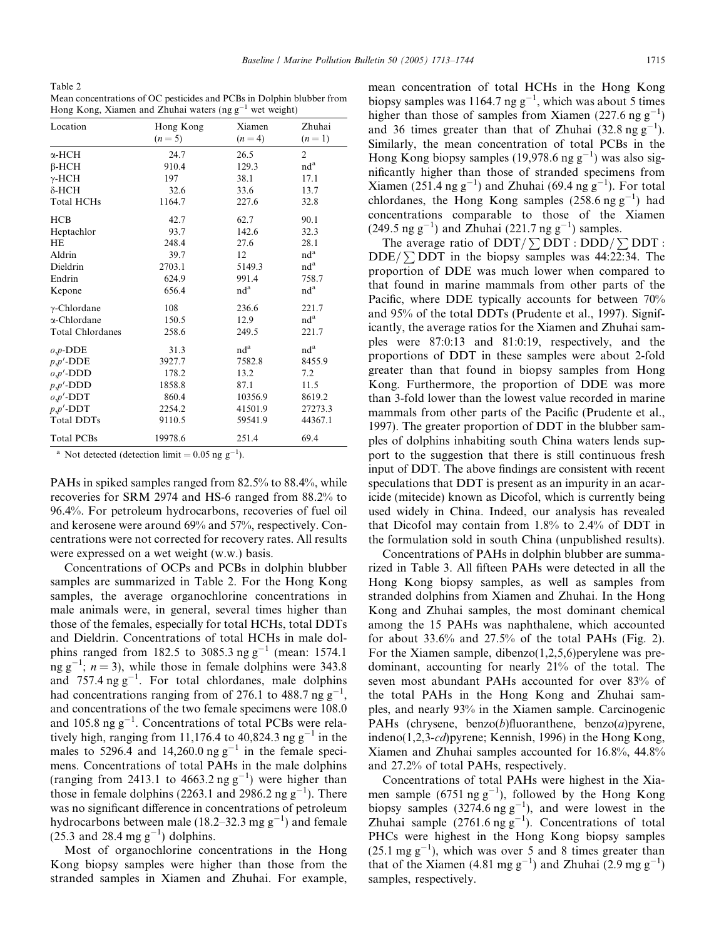Table 2

| Mean concentrations of OC pesticides and PCBs in Dolphin blubber from |  |  |
|-----------------------------------------------------------------------|--|--|
| Hong Kong, Xiamen and Zhuhai waters (ng $g^{-1}$ wet weight)          |  |  |

| Location                | Hong Kong<br>$(n=5)$ | Xiamen<br>$(n=4)$ | Zhuhai<br>$(n=1)$ |
|-------------------------|----------------------|-------------------|-------------------|
|                         |                      |                   |                   |
| α-HCH                   | 24.7                 | 26.5              | $\overline{2}$    |
| $\beta$ -HCH            | 910.4                | 129.3             | nd <sup>a</sup>   |
| $\gamma$ -HCH           | 197                  | 38.1              | 17.1              |
| $\delta$ -HCH           | 32.6                 | 33.6              | 13.7              |
| <b>Total HCHs</b>       | 1164.7               | 227.6             | 32.8              |
| HCB                     | 42.7                 | 62.7              | 90.1              |
| Heptachlor              | 93.7                 | 142.6             | 32.3              |
| HE                      | 248.4                | 27.6              | 28.1              |
| Aldrin                  | 39.7                 | 12                | nd <sup>a</sup>   |
| Dieldrin                | 2703.1               | 5149.3            | nd <sup>a</sup>   |
| Endrin                  | 624.9                | 991.4             | 758.7             |
| Kepone                  | 656.4                | nd <sup>a</sup>   | nd <sup>a</sup>   |
| $\gamma$ -Chlordane     | 108                  | 236.6             | 221.7             |
| α-Chlordane             | 150.5                | 12.9              | $nd^a$            |
| <b>Total Chlordanes</b> | 258.6                | 249.5             | 221.7             |
| $o, p$ -DDE             | 31.3                 | nd <sup>a</sup>   | nd <sup>a</sup>   |
| $p, p'$ -DDE            | 3927.7               | 7582.8            | 8455.9            |
| $o, p'$ -DDD            | 178.2                | 13.2              | 7.2               |
| $p, p'$ -DDD            | 1858.8               | 87.1              | 11.5              |
| $o, p'$ -DDT            | 860.4                | 10356.9           | 8619.2            |
| $p, p'$ -DDT            | 2254.2               | 41501.9           | 27273.3           |
| <b>Total DDTs</b>       | 9110.5               | 59541.9           | 44367.1           |
| <b>Total PCBs</b>       | 19978.6              | 251.4             | 69.4              |

<sup>a</sup> Not detected (detection limit =  $0.05$  ng g<sup>-1</sup>).

PAHs in spiked samples ranged from 82.5% to 88.4%, while recoveries for SRM 2974 and HS-6 ranged from 88.2% to 96.4%. For petroleum hydrocarbons, recoveries of fuel oil and kerosene were around 69% and 57%, respectively. Concentrations were not corrected for recovery rates. All results were expressed on a wet weight (w.w.) basis.

Concentrations of OCPs and PCBs in dolphin blubber samples are summarized in Table 2. For the Hong Kong samples, the average organochlorine concentrations in male animals were, in general, several times higher than those of the females, especially for total HCHs, total DDTs and Dieldrin. Concentrations of total HCHs in male dolphins ranged from 182.5 to 3085.3 ng  $g^{-1}$  (mean: 1574.1)  $\ln$ g g<sup>-1</sup>; n = 3), while those in female dolphins were 343.8 and  $757.4 \text{ ng g}^{-1}$ . For total chlordanes, male dolphins had concentrations ranging from of 276.1 to 488.7 ng  $g^{-1}$ , and concentrations of the two female specimens were 108.0 and 105.8 ng  $g^{-1}$ . Concentrations of total PCBs were relatively high, ranging from 11,176.4 to 40,824.3 ng  $g^{-1}$  in the males to 5296.4 and 14,260.0 ng  $g^{-1}$  in the female specimens. Concentrations of total PAHs in the male dolphins (ranging from 2413.1 to  $4663.2$  ng  $g^{-1}$ ) were higher than those in female dolphins (2263.1 and 2986.2 ng  $g^{-1}$ ). There was no significant difference in concentrations of petroleum hydrocarbons between male (18.2–32.3 mg  $g^{-1}$ ) and female  $(25.3 \text{ and } 28.4 \text{ mg g}^{-1})$  dolphins.

Most of organochlorine concentrations in the Hong Kong biopsy samples were higher than those from the stranded samples in Xiamen and Zhuhai. For example, mean concentration of total HCHs in the Hong Kong biopsy samples was 1164.7 ng  $g^{-1}$ , which was about 5 times higher than those of samples from Xiamen (227.6 ng  $g^{-1}$ ) and 36 times greater than that of Zhuhai  $(32.8 \text{ ng g}^{-1})$  $^{1}$ ). Similarly, the mean concentration of total PCBs in the Hong Kong biopsy samples (19,978.6 ng  $g^{-1}$ ) was also significantly higher than those of stranded specimens from Xiamen (251.4 ng  $g^{-1}$ ) and Zhuhai (69.4 ng  $g^{-1}$ ). For total chlordanes, the Hong Kong samples  $(258.6 \text{ ng g}^{-1})$  had concentrations comparable to those of the Xiamen  $(249.5 \text{ ng g}^{-1})$  and Zhuhai  $(221.7 \text{ ng g}^{-1})$  samples.

The average ratio of  $DDT / \sum DDT$ :  $DDD / \sum DDT$ : DDE/ $\sum$ DDT in the biopsy samples was 44:22:34. The proportion of DDE was much lower when compared to that found in marine mammals from other parts of the Pacific, where DDE typically accounts for between 70% and 95% of the total DDTs (Prudente et al., 1997). Significantly, the average ratios for the Xiamen and Zhuhai samples were 87:0:13 and 81:0:19, respectively, and the proportions of DDT in these samples were about 2-fold greater than that found in biopsy samples from Hong Kong. Furthermore, the proportion of DDE was more than 3-fold lower than the lowest value recorded in marine mammals from other parts of the Pacific (Prudente et al., 1997). The greater proportion of DDT in the blubber samples of dolphins inhabiting south China waters lends support to the suggestion that there is still continuous fresh input of DDT. The above findings are consistent with recent speculations that DDT is present as an impurity in an acaricide (mitecide) known as Dicofol, which is currently being used widely in China. Indeed, our analysis has revealed that Dicofol may contain from 1.8% to 2.4% of DDT in the formulation sold in south China (unpublished results).

Concentrations of PAHs in dolphin blubber are summarized in Table 3. All fifteen PAHs were detected in all the Hong Kong biopsy samples, as well as samples from stranded dolphins from Xiamen and Zhuhai. In the Hong Kong and Zhuhai samples, the most dominant chemical among the 15 PAHs was naphthalene, which accounted for about 33.6% and 27.5% of the total PAHs (Fig. 2). For the Xiamen sample, dibenzo $(1,2,5,6)$  perylene was predominant, accounting for nearly 21% of the total. The seven most abundant PAHs accounted for over 83% of the total PAHs in the Hong Kong and Zhuhai samples, and nearly 93% in the Xiamen sample. Carcinogenic PAHs (chrysene, benzo(b)fluoranthene, benzo(a)pyrene, indeno(1,2,3-cd)pyrene; Kennish, 1996) in the Hong Kong, Xiamen and Zhuhai samples accounted for 16.8%, 44.8% and 27.2% of total PAHs, respectively.

Concentrations of total PAHs were highest in the Xiamen sample (6751 ng  $g^{-1}$ ), followed by the Hong Kong biopsy samples  $(3274.6 \text{ ng g}^{-1})$ , and were lowest in the Zhuhai sample  $(2761.6 \text{ ng g}^{-1})$ . Concentrations of total PHCs were highest in the Hong Kong biopsy samples  $(25.1 \text{ mg g}^{-1})$ , which was over 5 and 8 times greater than that of the Xiamen (4.81 mg  $g^{-1}$ ) and Zhuhai (2.9 mg  $g^{-1}$ ) samples, respectively.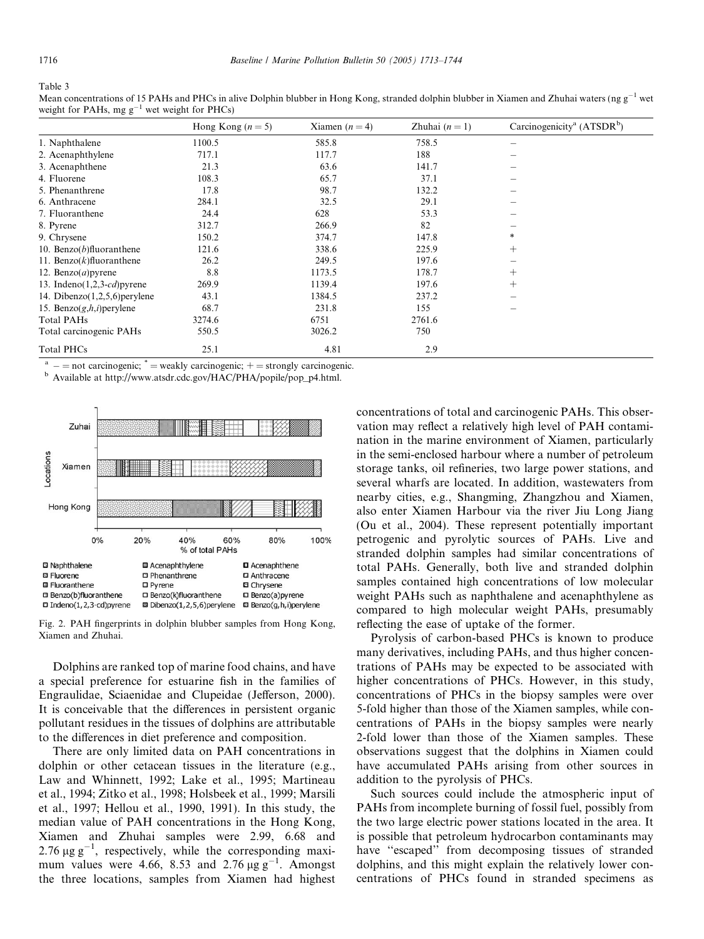Table 3

| Mean concentrations of 15 PAHs and PHCs in alive Dolphin blubber in Hong Kong, stranded dolphin blubber in Xiamen and Zhuhai waters (ng $g^{-1}$ wet |  |
|------------------------------------------------------------------------------------------------------------------------------------------------------|--|
| weight for PAHs, mg $g^{-1}$ wet weight for PHCs)                                                                                                    |  |
|                                                                                                                                                      |  |

|                                  | Hong Kong $(n=5)$ | Xiamen $(n=4)$ | Zhuhai $(n = 1)$ | Carcinogenicity <sup>a</sup> (ATSDR <sup>b</sup> ) |
|----------------------------------|-------------------|----------------|------------------|----------------------------------------------------|
| 1. Naphthalene                   | 1100.5            | 585.8          | 758.5            |                                                    |
| 2. Acenaphthylene                | 717.1             | 117.7          | 188              |                                                    |
| 3. Acenaphthene                  | 21.3              | 63.6           | 141.7            |                                                    |
| 4. Fluorene                      | 108.3             | 65.7           | 37.1             |                                                    |
| 5. Phenanthrene                  | 17.8              | 98.7           | 132.2            |                                                    |
| 6. Anthracene                    | 284.1             | 32.5           | 29.1             |                                                    |
| 7. Fluoranthene                  | 24.4              | 628            | 53.3             |                                                    |
| 8. Pyrene                        | 312.7             | 266.9          | 82               |                                                    |
| 9. Chrysene                      | 150.2             | 374.7          | 147.8            | $*$                                                |
| 10. Benzo $(b)$ fluoranthene     | 121.6             | 338.6          | 225.9            | $^{+}$                                             |
| 11. Benzo $(k)$ fluoranthene     | 26.2              | 249.5          | 197.6            |                                                    |
| 12. Benzo $(a)$ pyrene           | 8.8               | 1173.5         | 178.7            | $^{+}$                                             |
| 13. Indeno $(1,2,3-cd)$ pyrene   | 269.9             | 1139.4         | 197.6            | $^{+}$                                             |
| 14. Dibenzo $(1,2,5,6)$ perylene | 43.1              | 1384.5         | 237.2            |                                                    |
| 15. Benzo $(g,h,i)$ perylene     | 68.7              | 231.8          | 155              |                                                    |
| Total PAHs                       | 3274.6            | 6751           | 2761.6           |                                                    |
| Total carcinogenic PAHs          | 550.5             | 3026.2         | 750              |                                                    |
| <b>Total PHCs</b>                | 25.1              | 4.81           | 2.9              |                                                    |

<sup>a</sup>  $-$  = not carcinogenic;  $*$  = weakly carcinogenic;  $+$  = strongly carcinogenic. b Available at http://www.atsdr.cdc.gov/HAC/PHA/popile/pop\_p4.html.



Fig. 2. PAH fingerprints in dolphin blubber samples from Hong Kong, Xiamen and Zhuhai.

Dolphins are ranked top of marine food chains, and have a special preference for estuarine fish in the families of Engraulidae, Sciaenidae and Clupeidae (Jefferson, 2000). It is conceivable that the differences in persistent organic pollutant residues in the tissues of dolphins are attributable to the differences in diet preference and composition.

There are only limited data on PAH concentrations in dolphin or other cetacean tissues in the literature (e.g., Law and Whinnett, 1992; Lake et al., 1995; Martineau et al., 1994; Zitko et al., 1998; Holsbeek et al., 1999; Marsili et al., 1997; Hellou et al., 1990, 1991). In this study, the median value of PAH concentrations in the Hong Kong, Xiamen and Zhuhai samples were 2.99, 6.68 and 2.76  $\mu$ g g<sup>-1</sup>, respectively, while the corresponding maximum values were 4.66, 8.53 and 2.76  $\mu$ g g<sup>-1</sup>. Amongst the three locations, samples from Xiamen had highest concentrations of total and carcinogenic PAHs. This observation may reflect a relatively high level of PAH contamination in the marine environment of Xiamen, particularly in the semi-enclosed harbour where a number of petroleum storage tanks, oil refineries, two large power stations, and several wharfs are located. In addition, wastewaters from nearby cities, e.g., Shangming, Zhangzhou and Xiamen, also enter Xiamen Harbour via the river Jiu Long Jiang (Ou et al., 2004). These represent potentially important petrogenic and pyrolytic sources of PAHs. Live and stranded dolphin samples had similar concentrations of total PAHs. Generally, both live and stranded dolphin samples contained high concentrations of low molecular weight PAHs such as naphthalene and acenaphthylene as compared to high molecular weight PAHs, presumably reflecting the ease of uptake of the former.

Pyrolysis of carbon-based PHCs is known to produce many derivatives, including PAHs, and thus higher concentrations of PAHs may be expected to be associated with higher concentrations of PHCs. However, in this study, concentrations of PHCs in the biopsy samples were over 5-fold higher than those of the Xiamen samples, while concentrations of PAHs in the biopsy samples were nearly 2-fold lower than those of the Xiamen samples. These observations suggest that the dolphins in Xiamen could have accumulated PAHs arising from other sources in addition to the pyrolysis of PHCs.

Such sources could include the atmospheric input of PAHs from incomplete burning of fossil fuel, possibly from the two large electric power stations located in the area. It is possible that petroleum hydrocarbon contaminants may have ''escaped'' from decomposing tissues of stranded dolphins, and this might explain the relatively lower concentrations of PHCs found in stranded specimens as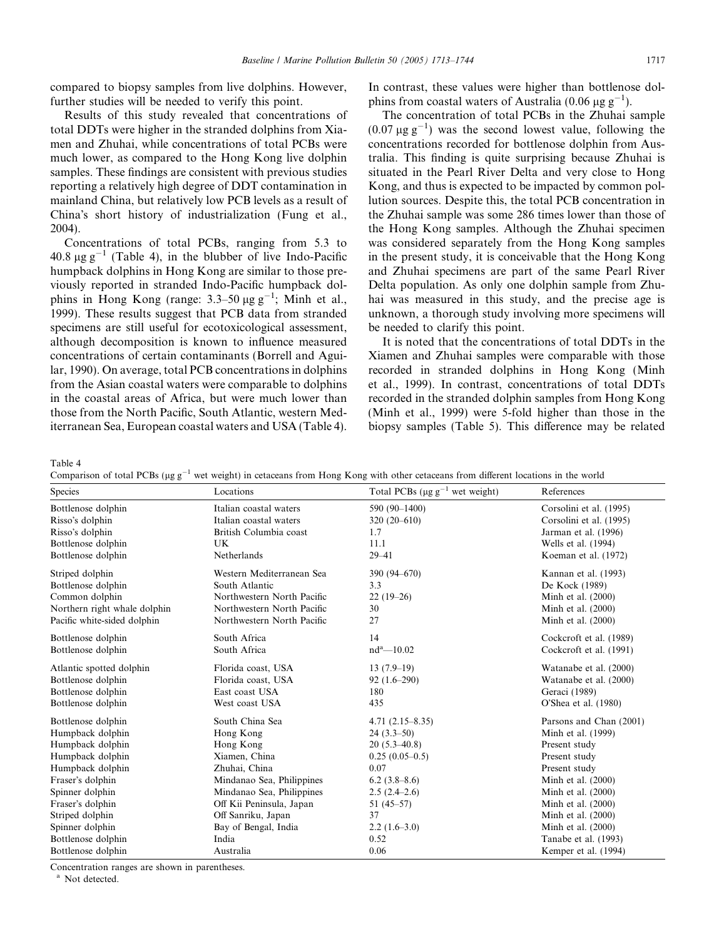compared to biopsy samples from live dolphins. However, further studies will be needed to verify this point.

Results of this study revealed that concentrations of total DDTs were higher in the stranded dolphins from Xiamen and Zhuhai, while concentrations of total PCBs were much lower, as compared to the Hong Kong live dolphin samples. These findings are consistent with previous studies reporting a relatively high degree of DDT contamination in mainland China, but relatively low PCB levels as a result of China's short history of industrialization (Fung et al., 2004).

Concentrations of total PCBs, ranging from 5.3 to 40.8  $\mu$ g g<sup>-1</sup> (Table 4), in the blubber of live Indo-Pacific humpback dolphins in Hong Kong are similar to those previously reported in stranded Indo-Pacific humpback dolphins in Hong Kong (range:  $3.3-50 \mu g g^{-1}$ ; Minh et al., 1999). These results suggest that PCB data from stranded specimens are still useful for ecotoxicological assessment, although decomposition is known to influence measured concentrations of certain contaminants (Borrell and Aguilar, 1990). On average, total PCB concentrations in dolphins from the Asian coastal waters were comparable to dolphins in the coastal areas of Africa, but were much lower than those from the North Pacific, South Atlantic, western Mediterranean Sea, European coastal waters and USA (Table 4). In contrast, these values were higher than bottlenose dolphins from coastal waters of Australia (0.06  $\mu$ g g<sup>-1</sup>).

The concentration of total PCBs in the Zhuhai sample  $(0.07 \,\mu g \, g^{-1})$  was the second lowest value, following the concentrations recorded for bottlenose dolphin from Australia. This finding is quite surprising because Zhuhai is situated in the Pearl River Delta and very close to Hong Kong, and thus is expected to be impacted by common pollution sources. Despite this, the total PCB concentration in the Zhuhai sample was some 286 times lower than those of the Hong Kong samples. Although the Zhuhai specimen was considered separately from the Hong Kong samples in the present study, it is conceivable that the Hong Kong and Zhuhai specimens are part of the same Pearl River Delta population. As only one dolphin sample from Zhuhai was measured in this study, and the precise age is unknown, a thorough study involving more specimens will be needed to clarify this point.

It is noted that the concentrations of total DDTs in the Xiamen and Zhuhai samples were comparable with those recorded in stranded dolphins in Hong Kong (Minh et al., 1999). In contrast, concentrations of total DDTs recorded in the stranded dolphin samples from Hong Kong (Minh et al., 1999) were 5-fold higher than those in the biopsy samples (Table 5). This difference may be related

Table 4

| Comparison of total PCBs ( $\mu$ g g <sup>-1</sup> wet weight) in cetaceans from Hong Kong with other cetaceans from different locations in the world |  |  |  |  |
|-------------------------------------------------------------------------------------------------------------------------------------------------------|--|--|--|--|
|                                                                                                                                                       |  |  |  |  |

| <b>Species</b>               | Locations                  | we weight) in ceaecans from frong ivong with other ceaecans from unicrent focations in the world<br>Total PCBs ( $\mu$ g g <sup>-1</sup> wet weight) | References              |
|------------------------------|----------------------------|------------------------------------------------------------------------------------------------------------------------------------------------------|-------------------------|
| Bottlenose dolphin           | Italian coastal waters     | 590 (90-1400)                                                                                                                                        | Corsolini et al. (1995) |
| Risso's dolphin              | Italian coastal waters     | $320(20-610)$                                                                                                                                        | Corsolini et al. (1995) |
| Risso's dolphin              | British Columbia coast     | 1.7                                                                                                                                                  | Jarman et al. (1996)    |
| Bottlenose dolphin           | <b>UK</b>                  | 11.1                                                                                                                                                 | Wells et al. (1994)     |
| Bottlenose dolphin           | Netherlands                | $29 - 41$                                                                                                                                            | Koeman et al. (1972)    |
| Striped dolphin              | Western Mediterranean Sea  | 390 (94-670)                                                                                                                                         | Kannan et al. (1993)    |
| Bottlenose dolphin           | South Atlantic             | 3.3                                                                                                                                                  | De Kock (1989)          |
| Common dolphin               | Northwestern North Pacific | $22(19-26)$                                                                                                                                          | Minh et al. $(2000)$    |
| Northern right whale dolphin | Northwestern North Pacific | 30                                                                                                                                                   | Minh et al. $(2000)$    |
| Pacific white-sided dolphin  | Northwestern North Pacific | 27                                                                                                                                                   | Minh et al. $(2000)$    |
| Bottlenose dolphin           | South Africa               | 14                                                                                                                                                   | Cockcroft et al. (1989) |
| Bottlenose dolphin           | South Africa               | $nd^a = 10.02$                                                                                                                                       | Cockcroft et al. (1991) |
| Atlantic spotted dolphin     | Florida coast, USA         | $13(7.9-19)$                                                                                                                                         | Watanabe et al. (2000)  |
| Bottlenose dolphin           | Florida coast, USA         | $92(1.6-290)$                                                                                                                                        | Watanabe et al. (2000)  |
| Bottlenose dolphin           | East coast USA             | 180                                                                                                                                                  | Geraci (1989)           |
| Bottlenose dolphin           | West coast USA             | 435                                                                                                                                                  | O'Shea et al. (1980)    |
| Bottlenose dolphin           | South China Sea            | $4.71(2.15 - 8.35)$                                                                                                                                  | Parsons and Chan (2001) |
| Humpback dolphin             | Hong Kong                  | $24(3.3-50)$                                                                                                                                         | Minh et al. (1999)      |
| Humpback dolphin             | Hong Kong                  | $20(5.3-40.8)$                                                                                                                                       | Present study           |
| Humpback dolphin             | Xiamen, China              | $0.25(0.05-0.5)$                                                                                                                                     | Present study           |
| Humpback dolphin             | Zhuhai, China              | 0.07                                                                                                                                                 | Present study           |
| Fraser's dolphin             | Mindanao Sea, Philippines  | 6.2(3.8–8.6)                                                                                                                                         | Minh et al. $(2000)$    |
| Spinner dolphin              | Mindanao Sea, Philippines  | $2.5(2.4-2.6)$                                                                                                                                       | Minh et al. $(2000)$    |
| Fraser's dolphin             | Off Kii Peninsula, Japan   | $51(45-57)$                                                                                                                                          | Minh et al. $(2000)$    |
| Striped dolphin              | Off Sanriku, Japan         | 37                                                                                                                                                   | Minh et al. $(2000)$    |
| Spinner dolphin              | Bay of Bengal, India       | $2.2(1.6-3.0)$                                                                                                                                       | Minh et al. $(2000)$    |
| Bottlenose dolphin           | India                      | 0.52                                                                                                                                                 | Tanabe et al. (1993)    |
| Bottlenose dolphin           | Australia                  | 0.06                                                                                                                                                 | Kemper et al. (1994)    |
|                              |                            |                                                                                                                                                      |                         |

Concentration ranges are shown in parentheses.

Not detected.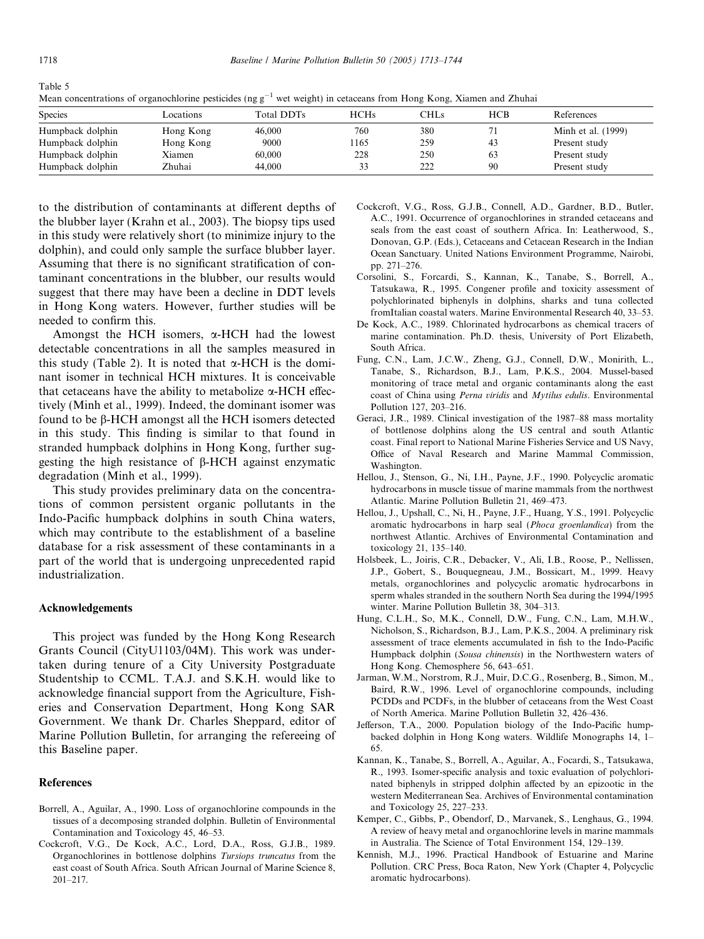Table 5

Mean concentrations of organochlorine pesticides (ng  $g^{-1}$  wet weight) in cetaceans from Hong Kong, Xiamen and Zhuhai

| <b>Species</b>   | Locations | Total DDTs | <b>HCHs</b> | CHLs | <b>HCB</b> | References         |
|------------------|-----------|------------|-------------|------|------------|--------------------|
| Humpback dolphin | Hong Kong | 46,000     | 760         | 380  |            | Minh et al. (1999) |
| Humpback dolphin | Hong Kong | 9000       | 165         | 259  | 43         | Present study      |
| Humpback dolphin | Xiamen    | 60,000     | 228         | 250  | 63         | Present study      |
| Humpback dolphin | Zhuhai    | 44.000     |             | 222  | 90         | Present study      |

to the distribution of contaminants at different depths of the blubber layer (Krahn et al., 2003). The biopsy tips used in this study were relatively short (to minimize injury to the dolphin), and could only sample the surface blubber layer. Assuming that there is no significant stratification of contaminant concentrations in the blubber, our results would suggest that there may have been a decline in DDT levels in Hong Kong waters. However, further studies will be needed to confirm this.

Amongst the HCH isomers,  $\alpha$ -HCH had the lowest detectable concentrations in all the samples measured in this study (Table 2). It is noted that  $\alpha$ -HCH is the dominant isomer in technical HCH mixtures. It is conceivable that cetaceans have the ability to metabolize  $\alpha$ -HCH effectively (Minh et al., 1999). Indeed, the dominant isomer was found to be  $\beta$ -HCH amongst all the HCH isomers detected in this study. This finding is similar to that found in stranded humpback dolphins in Hong Kong, further suggesting the high resistance of  $\beta$ -HCH against enzymatic degradation (Minh et al., 1999).

This study provides preliminary data on the concentrations of common persistent organic pollutants in the Indo-Pacific humpback dolphins in south China waters, which may contribute to the establishment of a baseline database for a risk assessment of these contaminants in a part of the world that is undergoing unprecedented rapid industrialization.

#### Acknowledgements

This project was funded by the Hong Kong Research Grants Council (CityU1103/04M). This work was undertaken during tenure of a City University Postgraduate Studentship to CCML. T.A.J. and S.K.H. would like to acknowledge financial support from the Agriculture, Fisheries and Conservation Department, Hong Kong SAR Government. We thank Dr. Charles Sheppard, editor of Marine Pollution Bulletin, for arranging the refereeing of this Baseline paper.

#### References

- Borrell, A., Aguilar, A., 1990. Loss of organochlorine compounds in the tissues of a decomposing stranded dolphin. Bulletin of Environmental Contamination and Toxicology 45, 46–53.
- Cockcroft, V.G., De Kock, A.C., Lord, D.A., Ross, G.J.B., 1989. Organochlorines in bottlenose dolphins Tursiops truncatus from the east coast of South Africa. South African Journal of Marine Science 8, 201–217.
- Cockcroft, V.G., Ross, G.J.B., Connell, A.D., Gardner, B.D., Butler, A.C., 1991. Occurrence of organochlorines in stranded cetaceans and seals from the east coast of southern Africa. In: Leatherwood, S., Donovan, G.P. (Eds.), Cetaceans and Cetacean Research in the Indian Ocean Sanctuary. United Nations Environment Programme, Nairobi, pp. 271–276.
- Corsolini, S., Forcardi, S., Kannan, K., Tanabe, S., Borrell, A., Tatsukawa, R., 1995. Congener profile and toxicity assessment of polychlorinated biphenyls in dolphins, sharks and tuna collected fromItalian coastal waters. Marine Environmental Research 40, 33–53.
- De Kock, A.C., 1989. Chlorinated hydrocarbons as chemical tracers of marine contamination. Ph.D. thesis, University of Port Elizabeth, South Africa.
- Fung, C.N., Lam, J.C.W., Zheng, G.J., Connell, D.W., Monirith, L., Tanabe, S., Richardson, B.J., Lam, P.K.S., 2004. Mussel-based monitoring of trace metal and organic contaminants along the east coast of China using Perna viridis and Mytilus edulis. Environmental Pollution 127, 203–216.
- Geraci, J.R., 1989. Clinical investigation of the 1987–88 mass mortality of bottlenose dolphins along the US central and south Atlantic coast. Final report to National Marine Fisheries Service and US Navy, Office of Naval Research and Marine Mammal Commission, Washington.
- Hellou, J., Stenson, G., Ni, I.H., Payne, J.F., 1990. Polycyclic aromatic hydrocarbons in muscle tissue of marine mammals from the northwest Atlantic. Marine Pollution Bulletin 21, 469–473.
- Hellou, J., Upshall, C., Ni, H., Payne, J.F., Huang, Y.S., 1991. Polycyclic aromatic hydrocarbons in harp seal (Phoca groenlandica) from the northwest Atlantic. Archives of Environmental Contamination and toxicology 21, 135–140.
- Holsbeek, L., Joiris, C.R., Debacker, V., Ali, I.B., Roose, P., Nellissen, J.P., Gobert, S., Bouquegneau, J.M., Bossicart, M., 1999. Heavy metals, organochlorines and polycyclic aromatic hydrocarbons in sperm whales stranded in the southern North Sea during the 1994/1995 winter. Marine Pollution Bulletin 38, 304–313.
- Hung, C.L.H., So, M.K., Connell, D.W., Fung, C.N., Lam, M.H.W., Nicholson, S., Richardson, B.J., Lam, P.K.S., 2004. A preliminary risk assessment of trace elements accumulated in fish to the Indo-Pacific Humpback dolphin (Sousa chinensis) in the Northwestern waters of Hong Kong. Chemosphere 56, 643–651.
- Jarman, W.M., Norstrom, R.J., Muir, D.C.G., Rosenberg, B., Simon, M., Baird, R.W., 1996. Level of organochlorine compounds, including PCDDs and PCDFs, in the blubber of cetaceans from the West Coast of North America. Marine Pollution Bulletin 32, 426–436.
- Jefferson, T.A., 2000. Population biology of the Indo-Pacific humpbacked dolphin in Hong Kong waters. Wildlife Monographs 14, 1– 65.
- Kannan, K., Tanabe, S., Borrell, A., Aguilar, A., Focardi, S., Tatsukawa, R., 1993. Isomer-specific analysis and toxic evaluation of polychlorinated biphenyls in stripped dolphin affected by an epizootic in the western Mediterranean Sea. Archives of Environmental contamination and Toxicology 25, 227–233.
- Kemper, C., Gibbs, P., Obendorf, D., Marvanek, S., Lenghaus, G., 1994. A review of heavy metal and organochlorine levels in marine mammals in Australia. The Science of Total Environment 154, 129–139.
- Kennish, M.J., 1996. Practical Handbook of Estuarine and Marine Pollution. CRC Press, Boca Raton, New York (Chapter 4, Polycyclic aromatic hydrocarbons).